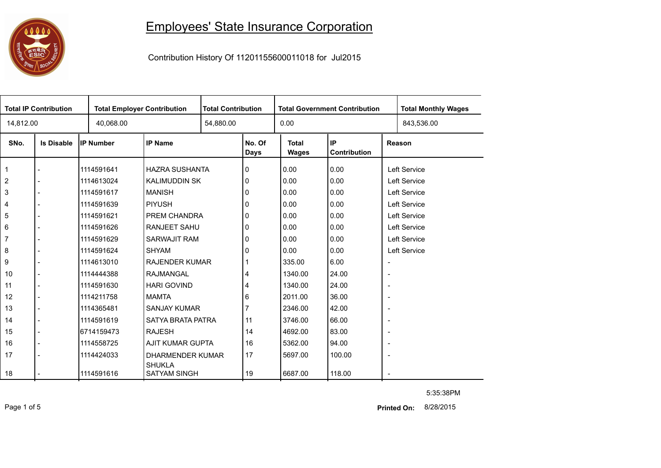## 0000

## Employees' State Insurance Corporation

Contribution History Of 11201155600011018 for Jul2015

| <b>Total IP Contribution</b> |                   |            | <b>Total Employer Contribution</b> |  | <b>Total Contribution</b> | <b>Total Government Contribution</b>               |        |                          | <b>Total Monthly Wages</b> |  |
|------------------------------|-------------------|------------|------------------------------------|--|---------------------------|----------------------------------------------------|--------|--------------------------|----------------------------|--|
| 14,812.00                    |                   | 40,068.00  |                                    |  | 54,880.00                 |                                                    |        |                          | 843,536.00                 |  |
| SNo.                         | <b>Is Disable</b> | IP Number  | <b>IP Name</b>                     |  | No. Of<br><b>Days</b>     | IP<br><b>Total</b><br>Contribution<br><b>Wages</b> |        | Reason                   |                            |  |
| 1                            |                   | 1114591641 | <b>HAZRA SUSHANTA</b>              |  | 0                         | 0.00                                               | 0.00   |                          | Left Service               |  |
| $\overline{c}$               |                   | 1114613024 | <b>KALIMUDDIN SK</b>               |  | 0                         | 0.00                                               | 0.00   | Left Service             |                            |  |
| 3                            |                   | 1114591617 | <b>MANISH</b>                      |  | 0                         | 0.00                                               | 0.00   |                          | Left Service               |  |
| 4                            |                   | 1114591639 | <b>PIYUSH</b>                      |  | 0                         | 0.00                                               | 0.00   |                          | Left Service               |  |
| 5                            |                   | 1114591621 | PREM CHANDRA                       |  | 0                         | 0.00                                               | 0.00   | Left Service             |                            |  |
| 6                            |                   | 1114591626 | RANJEET SAHU                       |  | 0                         | 0.00                                               | 0.00   |                          | Left Service               |  |
| $\overline{7}$               |                   | 1114591629 | <b>SARWAJIT RAM</b>                |  | 0                         | 0.00                                               | 0.00   |                          | Left Service               |  |
| 8                            |                   | 1114591624 | <b>SHYAM</b>                       |  | 0                         | 0.00                                               | 0.00   | Left Service             |                            |  |
| 9                            |                   | 1114613010 | <b>RAJENDER KUMAR</b>              |  |                           | 335.00                                             | 6.00   | $\overline{\phantom{a}}$ |                            |  |
| 10                           |                   | 1114444388 | RAJMANGAL                          |  | 4                         | 1340.00                                            | 24.00  | $\overline{\phantom{a}}$ |                            |  |
| 11                           |                   | 1114591630 | <b>HARI GOVIND</b>                 |  | 4                         | 1340.00                                            | 24.00  | $\overline{\phantom{a}}$ |                            |  |
| 12                           |                   | 1114211758 | <b>MAMTA</b>                       |  | 6                         | 2011.00                                            | 36.00  | $\overline{\phantom{a}}$ |                            |  |
| 13                           |                   | 1114365481 | <b>SANJAY KUMAR</b>                |  |                           | 2346.00                                            | 42.00  | $\overline{\phantom{a}}$ |                            |  |
| 14                           |                   | 1114591619 | SATYA BRATA PATRA                  |  | 11                        | 3746.00                                            | 66.00  | $\overline{\phantom{a}}$ |                            |  |
| 15                           |                   | 6714159473 | <b>RAJESH</b>                      |  | 14                        | 4692.00                                            | 83.00  | $\overline{\phantom{a}}$ |                            |  |
| 16                           |                   | 1114558725 | AJIT KUMAR GUPTA                   |  | 16                        | 5362.00                                            | 94.00  | $\overline{\phantom{a}}$ |                            |  |
| 17                           |                   | 1114424033 | DHARMENDER KUMAR<br><b>SHUKLA</b>  |  | 17                        | 5697.00                                            | 100.00 | $\overline{\phantom{a}}$ |                            |  |
| 18                           |                   | 1114591616 | <b>SATYAM SINGH</b>                |  | 19                        | 6687.00                                            | 118.00 |                          |                            |  |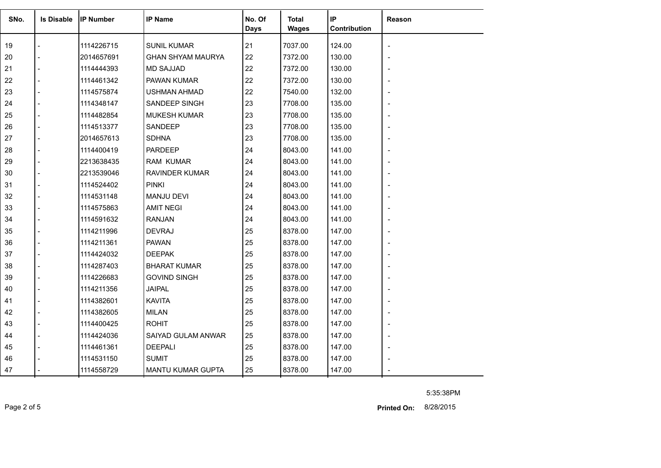| SNo. | <b>Is Disable</b> | <b>IIP Number</b> | <b>IP Name</b>           | No. Of<br>Days | <b>Total</b><br><b>Wages</b> | IP<br>Contribution | <b>Reason</b> |
|------|-------------------|-------------------|--------------------------|----------------|------------------------------|--------------------|---------------|
| 19   |                   | 1114226715        | <b>SUNIL KUMAR</b>       | 21             | 7037.00                      | 124.00             |               |
| 20   |                   | 2014657691        | <b>GHAN SHYAM MAURYA</b> | 22             | 7372.00                      | 130.00             |               |
| 21   |                   | 1114444393        | <b>MD SAJJAD</b>         | 22             | 7372.00                      | 130.00             |               |
| 22   |                   | 1114461342        | PAWAN KUMAR              | 22             | 7372.00                      | 130.00             |               |
| 23   |                   | 1114575874        | <b>USHMAN AHMAD</b>      | 22             | 7540.00                      | 132.00             |               |
| 24   |                   | 1114348147        | SANDEEP SINGH            | 23             | 7708.00                      | 135.00             |               |
| 25   |                   | 1114482854        | <b>MUKESH KUMAR</b>      | 23             | 7708.00                      | 135.00             |               |
| 26   |                   | 1114513377        | SANDEEP                  | 23             | 7708.00                      | 135.00             |               |
| 27   |                   | 2014657613        | <b>SDHNA</b>             | 23             | 7708.00                      | 135.00             |               |
| 28   |                   | 1114400419        | <b>PARDEEP</b>           | 24             | 8043.00                      | 141.00             |               |
| 29   |                   | 2213638435        | <b>RAM KUMAR</b>         | 24             | 8043.00                      | 141.00             |               |
| 30   |                   | 2213539046        | <b>RAVINDER KUMAR</b>    | 24             | 8043.00                      | 141.00             |               |
| 31   |                   | 1114524402        | <b>PINKI</b>             | 24             | 8043.00                      | 141.00             |               |
| 32   |                   | 1114531148        | <b>MANJU DEVI</b>        | 24             | 8043.00                      | 141.00             |               |
| 33   |                   | 1114575863        | <b>AMIT NEGI</b>         | 24             | 8043.00                      | 141.00             |               |
| 34   |                   | 1114591632        | <b>RANJAN</b>            | 24             | 8043.00                      | 141.00             |               |
| 35   |                   | 1114211996        | <b>DEVRAJ</b>            | 25             | 8378.00                      | 147.00             |               |
| 36   |                   | 1114211361        | <b>PAWAN</b>             | 25             | 8378.00                      | 147.00             |               |
| 37   |                   | 1114424032        | <b>DEEPAK</b>            | 25             | 8378.00                      | 147.00             |               |
| 38   |                   | 1114287403        | <b>BHARAT KUMAR</b>      | 25             | 8378.00                      | 147.00             |               |
| 39   |                   | 1114226683        | <b>GOVIND SINGH</b>      | 25             | 8378.00                      | 147.00             |               |
| 40   |                   | 1114211356        | <b>JAIPAL</b>            | 25             | 8378.00                      | 147.00             |               |
| 41   |                   | 1114382601        | <b>KAVITA</b>            | 25             | 8378.00                      | 147.00             |               |
| 42   |                   | 1114382605        | <b>MILAN</b>             | 25             | 8378.00                      | 147.00             |               |
| 43   |                   | 1114400425        | <b>ROHIT</b>             | 25             | 8378.00                      | 147.00             |               |
| 44   |                   | 1114424036        | SAIYAD GULAM ANWAR       | 25             | 8378.00                      | 147.00             |               |
| 45   |                   | 1114461361        | <b>DEEPALI</b>           | 25             | 8378.00                      | 147.00             |               |
| 46   |                   | 1114531150        | <b>SUMIT</b>             | 25             | 8378.00                      | 147.00             |               |
| 47   |                   | 1114558729        | <b>MANTU KUMAR GUPTA</b> | 25             | 8378.00                      | 147.00             |               |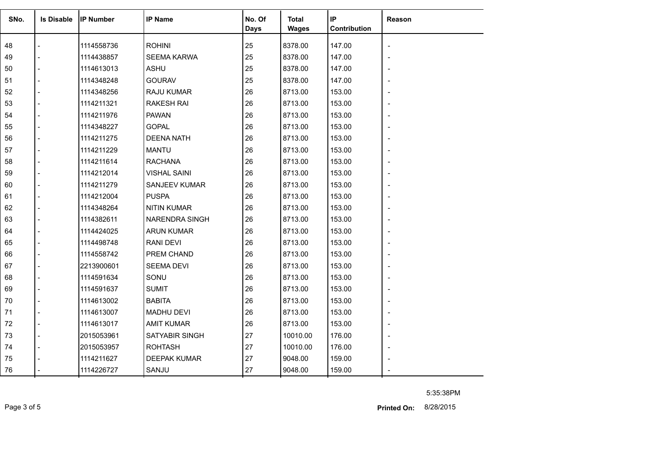| SNo. | <b>Is Disable</b> | <b>IP Number</b> | <b>IP Name</b>        | No. Of<br><b>Days</b> | Total<br><b>Wages</b> | IP<br>Contribution | Reason                   |
|------|-------------------|------------------|-----------------------|-----------------------|-----------------------|--------------------|--------------------------|
| 48   |                   | 1114558736       | <b>ROHINI</b>         | 25                    | 8378.00               | 147.00             |                          |
| 49   |                   | 1114438857       | <b>SEEMA KARWA</b>    | 25                    | 8378.00               | 147.00             |                          |
| 50   |                   | 1114613013       | <b>ASHU</b>           | 25                    | 8378.00               | 147.00             | $\overline{\phantom{0}}$ |
| 51   |                   | 1114348248       | <b>GOURAV</b>         | 25                    | 8378.00               | 147.00             |                          |
| 52   |                   | 1114348256       | RAJU KUMAR            | 26                    | 8713.00               | 153.00             |                          |
| 53   |                   | 1114211321       | <b>RAKESH RAI</b>     | 26                    | 8713.00               | 153.00             |                          |
| 54   |                   | 1114211976       | <b>PAWAN</b>          | 26                    | 8713.00               | 153.00             |                          |
| 55   |                   | 1114348227       | <b>GOPAL</b>          | 26                    | 8713.00               | 153.00             |                          |
| 56   |                   | 1114211275       | <b>DEENA NATH</b>     | 26                    | 8713.00               | 153.00             |                          |
| 57   |                   | 1114211229       | <b>MANTU</b>          | 26                    | 8713.00               | 153.00             | $\blacksquare$           |
| 58   |                   | 1114211614       | <b>RACHANA</b>        | 26                    | 8713.00               | 153.00             |                          |
| 59   |                   | 1114212014       | <b>VISHAL SAINI</b>   | 26                    | 8713.00               | 153.00             |                          |
| 60   |                   | 1114211279       | <b>SANJEEV KUMAR</b>  | 26                    | 8713.00               | 153.00             |                          |
| 61   |                   | 1114212004       | <b>PUSPA</b>          | 26                    | 8713.00               | 153.00             |                          |
| 62   |                   | 1114348264       | <b>NITIN KUMAR</b>    | 26                    | 8713.00               | 153.00             |                          |
| 63   |                   | 1114382611       | <b>NARENDRA SINGH</b> | 26                    | 8713.00               | 153.00             |                          |
| 64   |                   | 1114424025       | <b>ARUN KUMAR</b>     | 26                    | 8713.00               | 153.00             |                          |
| 65   |                   | 1114498748       | <b>RANI DEVI</b>      | 26                    | 8713.00               | 153.00             |                          |
| 66   |                   | 1114558742       | PREM CHAND            | 26                    | 8713.00               | 153.00             |                          |
| 67   |                   | 2213900601       | <b>SEEMA DEVI</b>     | 26                    | 8713.00               | 153.00             | $\overline{\phantom{0}}$ |
| 68   |                   | 1114591634       | SONU                  | 26                    | 8713.00               | 153.00             |                          |
| 69   |                   | 1114591637       | <b>SUMIT</b>          | 26                    | 8713.00               | 153.00             |                          |
| 70   |                   | 1114613002       | <b>BABITA</b>         | 26                    | 8713.00               | 153.00             |                          |
| 71   |                   | 1114613007       | <b>MADHU DEVI</b>     | 26                    | 8713.00               | 153.00             |                          |
| 72   |                   | 1114613017       | <b>AMIT KUMAR</b>     | 26                    | 8713.00               | 153.00             |                          |
| 73   |                   | 2015053961       | SATYABIR SINGH        | 27                    | 10010.00              | 176.00             | $\blacksquare$           |
| 74   |                   | 2015053957       | <b>ROHTASH</b>        | 27                    | 10010.00              | 176.00             |                          |
| 75   |                   | 1114211627       | <b>DEEPAK KUMAR</b>   | 27                    | 9048.00               | 159.00             |                          |
| 76   |                   | 1114226727       | SANJU                 | 27                    | 9048.00               | 159.00             |                          |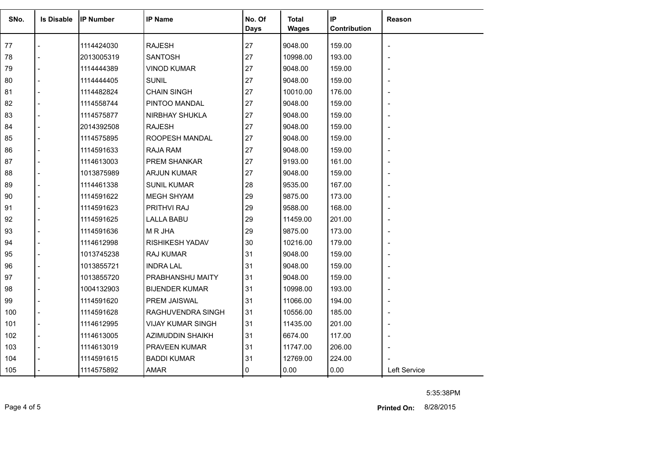| SNo. | <b>Is Disable</b> | <b>IP Number</b> | <b>IP Name</b>           | No. Of<br><b>Days</b> | <b>Total</b><br><b>Wages</b> | IP<br>Contribution | Reason       |
|------|-------------------|------------------|--------------------------|-----------------------|------------------------------|--------------------|--------------|
|      |                   |                  |                          |                       |                              |                    |              |
| 77   |                   | 1114424030       | <b>RAJESH</b>            | 27                    | 9048.00                      | 159.00             |              |
| 78   |                   | 2013005319       | <b>SANTOSH</b>           | 27                    | 10998.00                     | 193.00             |              |
| 79   |                   | 1114444389       | <b>VINOD KUMAR</b>       | 27                    | 9048.00                      | 159.00             |              |
| 80   |                   | 1114444405       | <b>SUNIL</b>             | 27                    | 9048.00                      | 159.00             |              |
| 81   |                   | 1114482824       | <b>CHAIN SINGH</b>       | 27                    | 10010.00                     | 176.00             |              |
| 82   |                   | 1114558744       | PINTOO MANDAL            | 27                    | 9048.00                      | 159.00             |              |
| 83   |                   | 1114575877       | <b>NIRBHAY SHUKLA</b>    | 27                    | 9048.00                      | 159.00             |              |
| 84   |                   | 2014392508       | <b>RAJESH</b>            | 27                    | 9048.00                      | 159.00             |              |
| 85   |                   | 1114575895       | ROOPESH MANDAL           | 27                    | 9048.00                      | 159.00             |              |
| 86   |                   | 1114591633       | RAJA RAM                 | 27                    | 9048.00                      | 159.00             |              |
| 87   |                   | 1114613003       | PREM SHANKAR             | 27                    | 9193.00                      | 161.00             |              |
| 88   |                   | 1013875989       | <b>ARJUN KUMAR</b>       | 27                    | 9048.00                      | 159.00             |              |
| 89   |                   | 1114461338       | <b>SUNIL KUMAR</b>       | 28                    | 9535.00                      | 167.00             |              |
| 90   |                   | 1114591622       | <b>MEGH SHYAM</b>        | 29                    | 9875.00                      | 173.00             |              |
| 91   |                   | 1114591623       | PRITHVI RAJ              | 29                    | 9588.00                      | 168.00             |              |
| 92   |                   | 1114591625       | <b>LALLA BABU</b>        | 29                    | 11459.00                     | 201.00             |              |
| 93   |                   | 1114591636       | M R JHA                  | 29                    | 9875.00                      | 173.00             |              |
| 94   |                   | 1114612998       | <b>RISHIKESH YADAV</b>   | 30                    | 10216.00                     | 179.00             |              |
| 95   |                   | 1013745238       | <b>RAJ KUMAR</b>         | 31                    | 9048.00                      | 159.00             |              |
| 96   |                   | 1013855721       | <b>INDRA LAL</b>         | 31                    | 9048.00                      | 159.00             |              |
| 97   |                   | 1013855720       | PRABHANSHU MAITY         | 31                    | 9048.00                      | 159.00             |              |
| 98   |                   | 1004132903       | <b>BIJENDER KUMAR</b>    | 31                    | 10998.00                     | 193.00             |              |
| 99   |                   | 1114591620       | PREM JAISWAL             | 31                    | 11066.00                     | 194.00             |              |
| 100  |                   | 1114591628       | RAGHUVENDRA SINGH        | 31                    | 10556.00                     | 185.00             |              |
| 101  |                   | 1114612995       | <b>VIJAY KUMAR SINGH</b> | 31                    | 11435.00                     | 201.00             |              |
| 102  |                   | 1114613005       | <b>AZIMUDDIN SHAIKH</b>  | 31                    | 6674.00                      | 117.00             |              |
| 103  |                   | 1114613019       | PRAVEEN KUMAR            | 31                    | 11747.00                     | 206.00             |              |
| 104  |                   | 1114591615       | <b>BADDI KUMAR</b>       | 31                    | 12769.00                     | 224.00             |              |
| 105  |                   | 1114575892       | <b>AMAR</b>              | 0                     | 0.00                         | 0.00               | Left Service |

Page 4 of 5 8/28/2015 **Printed On:**